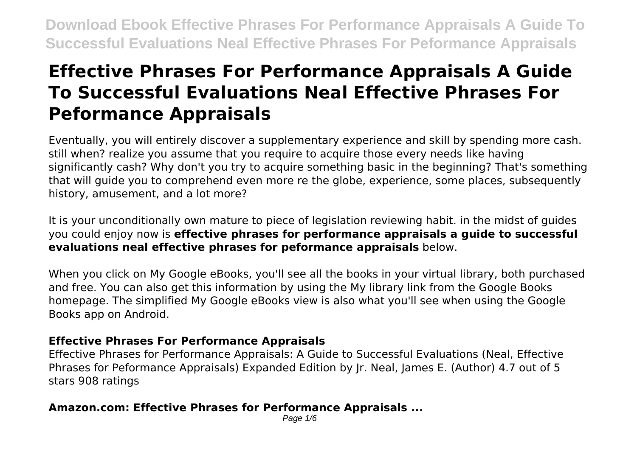# **Effective Phrases For Performance Appraisals A Guide To Successful Evaluations Neal Effective Phrases For Peformance Appraisals**

Eventually, you will entirely discover a supplementary experience and skill by spending more cash. still when? realize you assume that you require to acquire those every needs like having significantly cash? Why don't you try to acquire something basic in the beginning? That's something that will guide you to comprehend even more re the globe, experience, some places, subsequently history, amusement, and a lot more?

It is your unconditionally own mature to piece of legislation reviewing habit. in the midst of guides you could enjoy now is **effective phrases for performance appraisals a guide to successful evaluations neal effective phrases for peformance appraisals** below.

When you click on My Google eBooks, you'll see all the books in your virtual library, both purchased and free. You can also get this information by using the My library link from the Google Books homepage. The simplified My Google eBooks view is also what you'll see when using the Google Books app on Android.

### **Effective Phrases For Performance Appraisals**

Effective Phrases for Performance Appraisals: A Guide to Successful Evaluations (Neal, Effective Phrases for Peformance Appraisals) Expanded Edition by Jr. Neal, James E. (Author) 4.7 out of 5 stars 908 ratings

### **Amazon.com: Effective Phrases for Performance Appraisals ...**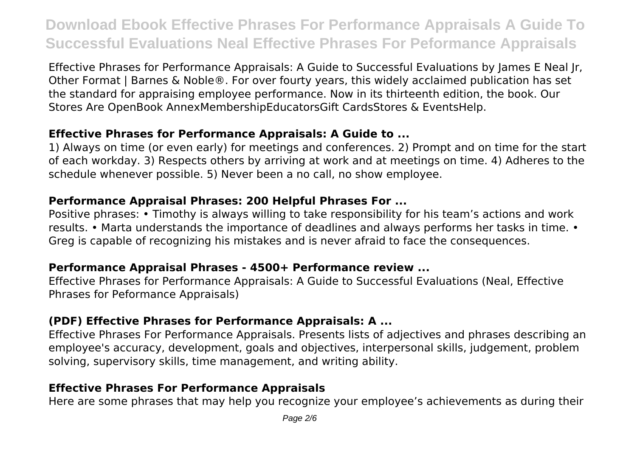Effective Phrases for Performance Appraisals: A Guide to Successful Evaluations by James E Neal Jr, Other Format | Barnes & Noble®. For over fourty years, this widely acclaimed publication has set the standard for appraising employee performance. Now in its thirteenth edition, the book. Our Stores Are OpenBook AnnexMembershipEducatorsGift CardsStores & EventsHelp.

### **Effective Phrases for Performance Appraisals: A Guide to ...**

1) Always on time (or even early) for meetings and conferences. 2) Prompt and on time for the start of each workday. 3) Respects others by arriving at work and at meetings on time. 4) Adheres to the schedule whenever possible. 5) Never been a no call, no show employee.

### **Performance Appraisal Phrases: 200 Helpful Phrases For ...**

Positive phrases: • Timothy is always willing to take responsibility for his team's actions and work results. • Marta understands the importance of deadlines and always performs her tasks in time. • Greg is capable of recognizing his mistakes and is never afraid to face the consequences.

### **Performance Appraisal Phrases - 4500+ Performance review ...**

Effective Phrases for Performance Appraisals: A Guide to Successful Evaluations (Neal, Effective Phrases for Peformance Appraisals)

### **(PDF) Effective Phrases for Performance Appraisals: A ...**

Effective Phrases For Performance Appraisals. Presents lists of adjectives and phrases describing an employee's accuracy, development, goals and objectives, interpersonal skills, judgement, problem solving, supervisory skills, time management, and writing ability.

### **Effective Phrases For Performance Appraisals**

Here are some phrases that may help you recognize your employee's achievements as during their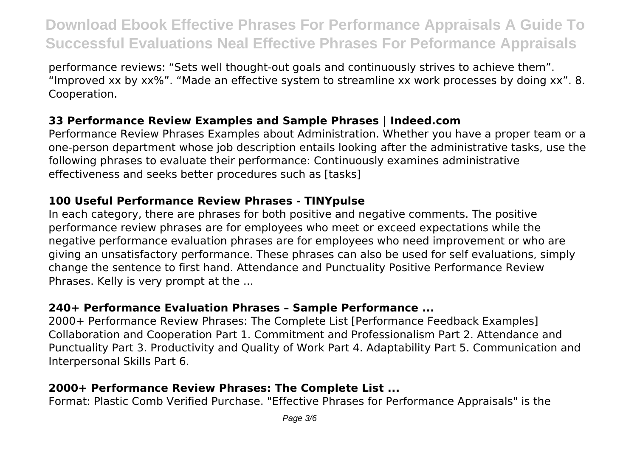performance reviews: "Sets well thought-out goals and continuously strives to achieve them". "Improved xx by xx%". "Made an effective system to streamline xx work processes by doing xx". 8. Cooperation.

### **33 Performance Review Examples and Sample Phrases | Indeed.com**

Performance Review Phrases Examples about Administration. Whether you have a proper team or a one-person department whose job description entails looking after the administrative tasks, use the following phrases to evaluate their performance: Continuously examines administrative effectiveness and seeks better procedures such as [tasks]

### **100 Useful Performance Review Phrases - TINYpulse**

In each category, there are phrases for both positive and negative comments. The positive performance review phrases are for employees who meet or exceed expectations while the negative performance evaluation phrases are for employees who need improvement or who are giving an unsatisfactory performance. These phrases can also be used for self evaluations, simply change the sentence to first hand. Attendance and Punctuality Positive Performance Review Phrases. Kelly is very prompt at the ...

# **240+ Performance Evaluation Phrases – Sample Performance ...**

2000+ Performance Review Phrases: The Complete List [Performance Feedback Examples] Collaboration and Cooperation Part 1. Commitment and Professionalism Part 2. Attendance and Punctuality Part 3. Productivity and Quality of Work Part 4. Adaptability Part 5. Communication and Interpersonal Skills Part 6.

# **2000+ Performance Review Phrases: The Complete List ...**

Format: Plastic Comb Verified Purchase. "Effective Phrases for Performance Appraisals" is the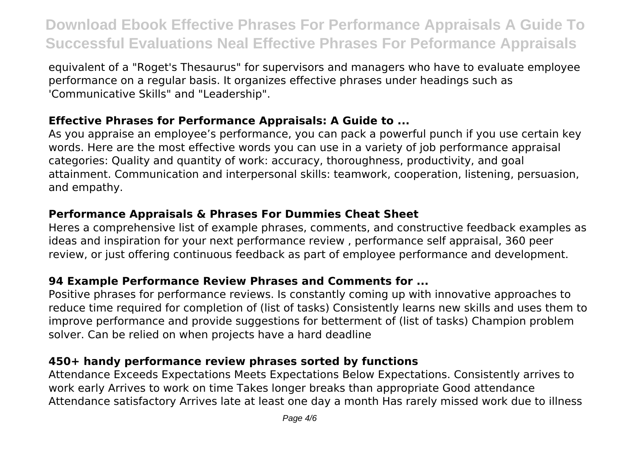equivalent of a "Roget's Thesaurus" for supervisors and managers who have to evaluate employee performance on a regular basis. It organizes effective phrases under headings such as 'Communicative Skills" and "Leadership".

### **Effective Phrases for Performance Appraisals: A Guide to ...**

As you appraise an employee's performance, you can pack a powerful punch if you use certain key words. Here are the most effective words you can use in a variety of job performance appraisal categories: Quality and quantity of work: accuracy, thoroughness, productivity, and goal attainment. Communication and interpersonal skills: teamwork, cooperation, listening, persuasion, and empathy.

# **Performance Appraisals & Phrases For Dummies Cheat Sheet**

Heres a comprehensive list of example phrases, comments, and constructive feedback examples as ideas and inspiration for your next performance review , performance self appraisal, 360 peer review, or just offering continuous feedback as part of employee performance and development.

# **94 Example Performance Review Phrases and Comments for ...**

Positive phrases for performance reviews. Is constantly coming up with innovative approaches to reduce time required for completion of (list of tasks) Consistently learns new skills and uses them to improve performance and provide suggestions for betterment of (list of tasks) Champion problem solver. Can be relied on when projects have a hard deadline

# **450+ handy performance review phrases sorted by functions**

Attendance Exceeds Expectations Meets Expectations Below Expectations. Consistently arrives to work early Arrives to work on time Takes longer breaks than appropriate Good attendance Attendance satisfactory Arrives late at least one day a month Has rarely missed work due to illness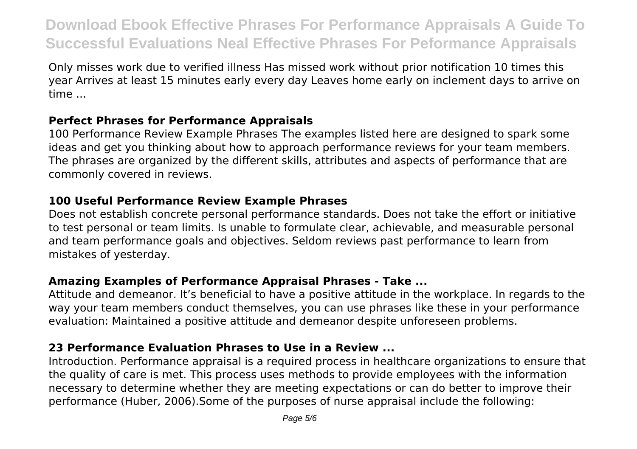Only misses work due to verified illness Has missed work without prior notification 10 times this year Arrives at least 15 minutes early every day Leaves home early on inclement days to arrive on time ...

### **Perfect Phrases for Performance Appraisals**

100 Performance Review Example Phrases The examples listed here are designed to spark some ideas and get you thinking about how to approach performance reviews for your team members. The phrases are organized by the different skills, attributes and aspects of performance that are commonly covered in reviews.

### **100 Useful Performance Review Example Phrases**

Does not establish concrete personal performance standards. Does not take the effort or initiative to test personal or team limits. Is unable to formulate clear, achievable, and measurable personal and team performance goals and objectives. Seldom reviews past performance to learn from mistakes of yesterday.

### **Amazing Examples of Performance Appraisal Phrases - Take ...**

Attitude and demeanor. It's beneficial to have a positive attitude in the workplace. In regards to the way your team members conduct themselves, you can use phrases like these in your performance evaluation: Maintained a positive attitude and demeanor despite unforeseen problems.

# **23 Performance Evaluation Phrases to Use in a Review ...**

Introduction. Performance appraisal is a required process in healthcare organizations to ensure that the quality of care is met. This process uses methods to provide employees with the information necessary to determine whether they are meeting expectations or can do better to improve their performance (Huber, 2006).Some of the purposes of nurse appraisal include the following: